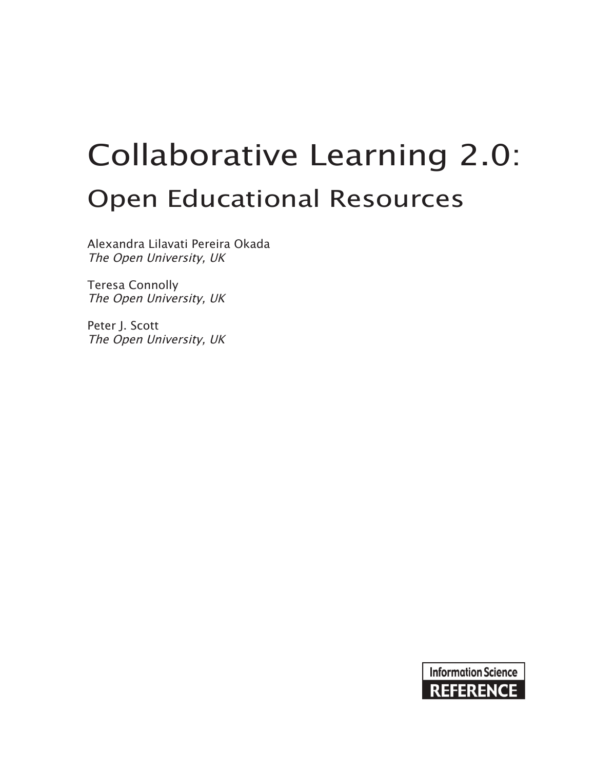# Collaborative Learning 2.0: Open Educational Resources

Alexandra Lilavati Pereira Okada The Open University, UK

Teresa Connolly The Open University, UK

Peter J. Scott The Open University, UK

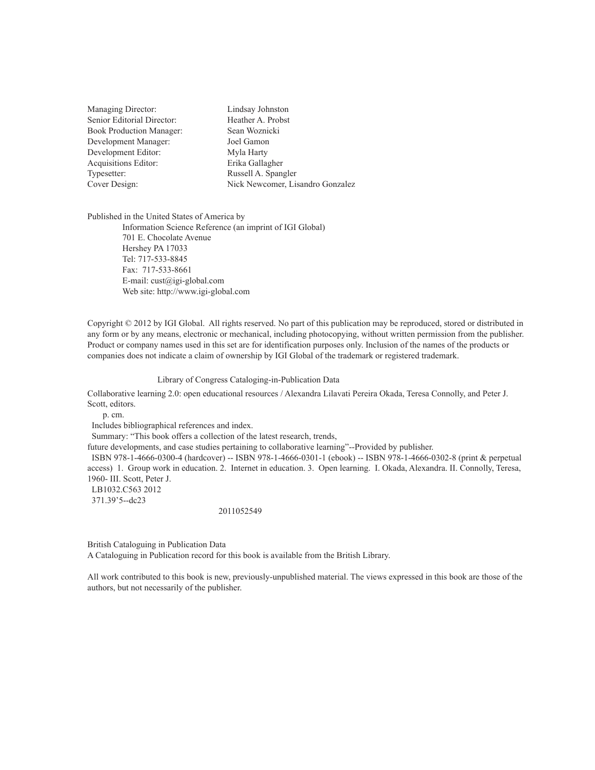| <b>Managing Director:</b>       | Lindsay Johnston                 |  |
|---------------------------------|----------------------------------|--|
| Senior Editorial Director:      | Heather A. Probst                |  |
| <b>Book Production Manager:</b> | Sean Woznicki                    |  |
| Development Manager:            | Joel Gamon                       |  |
| Development Editor:             | Myla Harty                       |  |
| Acquisitions Editor:            | Erika Gallagher                  |  |
| Typesetter:                     | Russell A. Spangler              |  |
| Cover Design:                   | Nick Newcomer, Lisandro Gonzalez |  |
|                                 |                                  |  |

Published in the United States of America by

Information Science Reference (an imprint of IGI Global) 701 E. Chocolate Avenue Hershey PA 17033 Tel: 717-533-8845 Fax: 717-533-8661 E-mail: cust@igi-global.com Web site: http://www.igi-global.com

Copyright © 2012 by IGI Global. All rights reserved. No part of this publication may be reproduced, stored or distributed in any form or by any means, electronic or mechanical, including photocopying, without written permission from the publisher. Product or company names used in this set are for identification purposes only. Inclusion of the names of the products or companies does not indicate a claim of ownership by IGI Global of the trademark or registered trademark.

#### Library of Congress Cataloging-in-Publication Data

Collaborative learning 2.0: open educational resources / Alexandra Lilavati Pereira Okada, Teresa Connolly, and Peter J. Scott, editors.

p. cm.

Includes bibliographical references and index.

Summary: "This book offers a collection of the latest research, trends,

future developments, and case studies pertaining to collaborative learning"--Provided by publisher.

 ISBN 978-1-4666-0300-4 (hardcover) -- ISBN 978-1-4666-0301-1 (ebook) -- ISBN 978-1-4666-0302-8 (print & perpetual access) 1. Group work in education. 2. Internet in education. 3. Open learning. I. Okada, Alexandra. II. Connolly, Teresa, 1960- III. Scott, Peter J. LB1032.C563 2012

371.39'5--dc23

2011052549

British Cataloguing in Publication Data A Cataloguing in Publication record for this book is available from the British Library.

All work contributed to this book is new, previously-unpublished material. The views expressed in this book are those of the authors, but not necessarily of the publisher.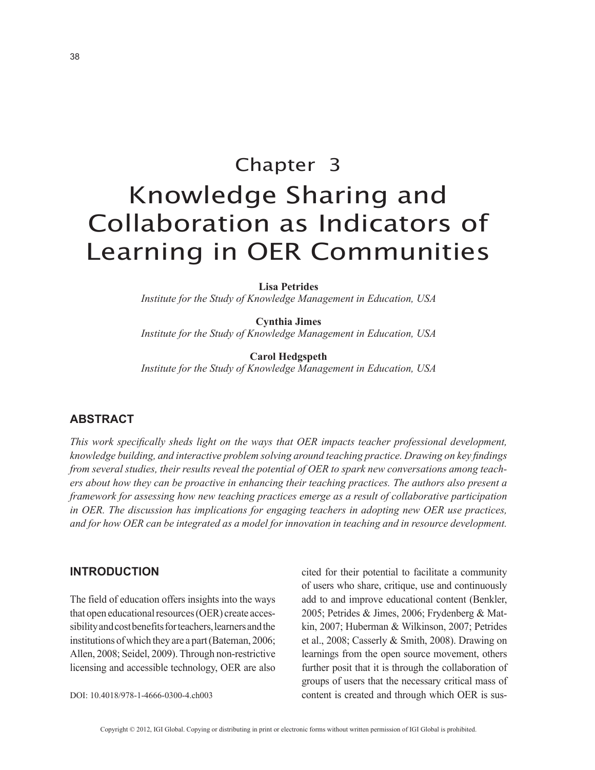## Chapter 3 Knowledge Sharing and Collaboration as Indicators of Learning in OER Communities

**Lisa Petrides**

*Institute for the Study of Knowledge Management in Education, USA*

**Cynthia Jimes** *Institute for the Study of Knowledge Management in Education, USA*

**Carol Hedgspeth** *Institute for the Study of Knowledge Management in Education, USA*

#### **ABSTRACT**

*This work specifically sheds light on the ways that OER impacts teacher professional development, knowledge building, and interactive problem solving around teaching practice. Drawing on key findings from several studies, their results reveal the potential of OER to spark new conversations among teachers about how they can be proactive in enhancing their teaching practices. The authors also present a framework for assessing how new teaching practices emerge as a result of collaborative participation in OER. The discussion has implications for engaging teachers in adopting new OER use practices, and for how OER can be integrated as a model for innovation in teaching and in resource development.*

#### **INTRODUCTION**

The field of education offers insights into the ways that open educational resources (OER) create accessibility and cost benefits for teachers, learners and the institutions of which they are a part (Bateman, 2006; Allen, 2008; Seidel, 2009). Through non-restrictive licensing and accessible technology, OER are also

DOI: 10.4018/978-1-4666-0300-4.ch003

cited for their potential to facilitate a community of users who share, critique, use and continuously add to and improve educational content (Benkler, 2005; Petrides & Jimes, 2006; Frydenberg & Matkin, 2007; Huberman & Wilkinson, 2007; Petrides et al., 2008; Casserly & Smith, 2008). Drawing on learnings from the open source movement, others further posit that it is through the collaboration of groups of users that the necessary critical mass of content is created and through which OER is sus-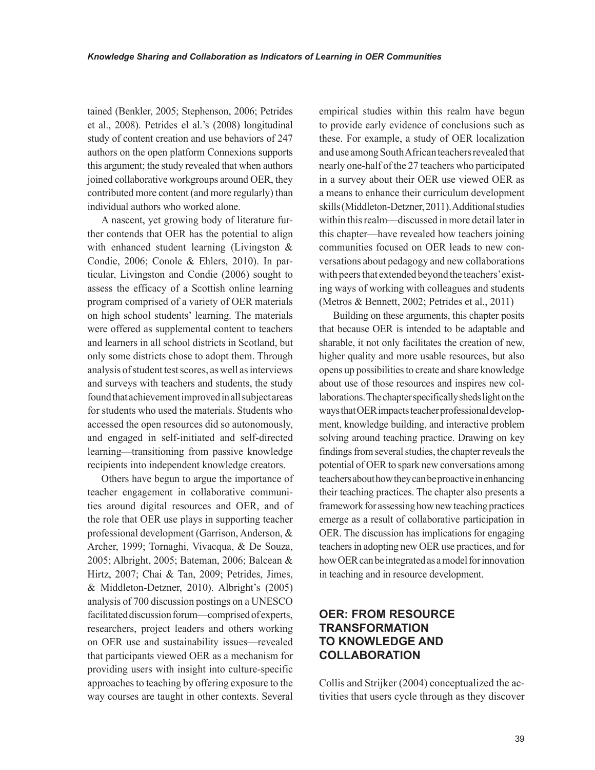tained (Benkler, 2005; Stephenson, 2006; Petrides et al., 2008). Petrides el al.'s (2008) longitudinal study of content creation and use behaviors of 247 authors on the open platform Connexions supports this argument; the study revealed that when authors joined collaborative workgroups around OER, they contributed more content (and more regularly) than individual authors who worked alone.

A nascent, yet growing body of literature further contends that OER has the potential to align with enhanced student learning (Livingston & Condie, 2006; Conole & Ehlers, 2010). In particular, Livingston and Condie (2006) sought to assess the efficacy of a Scottish online learning program comprised of a variety of OER materials on high school students' learning. The materials were offered as supplemental content to teachers and learners in all school districts in Scotland, but only some districts chose to adopt them. Through analysis of student test scores, as well as interviews and surveys with teachers and students, the study found that achievement improved in all subject areas for students who used the materials. Students who accessed the open resources did so autonomously, and engaged in self-initiated and self-directed learning—transitioning from passive knowledge recipients into independent knowledge creators.

Others have begun to argue the importance of teacher engagement in collaborative communities around digital resources and OER, and of the role that OER use plays in supporting teacher professional development (Garrison, Anderson, & Archer, 1999; Tornaghi, Vivacqua, & De Souza, 2005; Albright, 2005; Bateman, 2006; Balcean & Hirtz, 2007; Chai & Tan, 2009; Petrides, Jimes, & Middleton-Detzner, 2010). Albright's (2005) analysis of 700 discussion postings on a UNESCO facilitated discussion forum—comprised of experts, researchers, project leaders and others working on OER use and sustainability issues—revealed that participants viewed OER as a mechanism for providing users with insight into culture-specific approaches to teaching by offering exposure to the way courses are taught in other contexts. Several

empirical studies within this realm have begun to provide early evidence of conclusions such as these. For example, a study of OER localization and use among South African teachers revealed that nearly one-half of the 27 teachers who participated in a survey about their OER use viewed OER as a means to enhance their curriculum development skills (Middleton-Detzner, 2011). Additional studies within this realm—discussed in more detail later in this chapter—have revealed how teachers joining communities focused on OER leads to new conversations about pedagogy and new collaborations with peers that extended beyond the teachers' existing ways of working with colleagues and students (Metros & Bennett, 2002; Petrides et al., 2011)

Building on these arguments, this chapter posits that because OER is intended to be adaptable and sharable, it not only facilitates the creation of new, higher quality and more usable resources, but also opens up possibilities to create and share knowledge about use of those resources and inspires new collaborations. The chapter specifically sheds light on the ways that OER impacts teacher professional development, knowledge building, and interactive problem solving around teaching practice. Drawing on key findings from several studies, the chapter reveals the potential of OER to spark new conversations among teachers about how they can be proactive in enhancing their teaching practices. The chapter also presents a framework for assessing how new teaching practices emerge as a result of collaborative participation in OER. The discussion has implications for engaging teachers in adopting new OER use practices, and for how OER can be integrated as a model for innovation in teaching and in resource development.

#### **OER: FROM RESOURCE TRANSFORMATION TO KNOWLEDGE AND COLLABORATION**

Collis and Strijker (2004) conceptualized the activities that users cycle through as they discover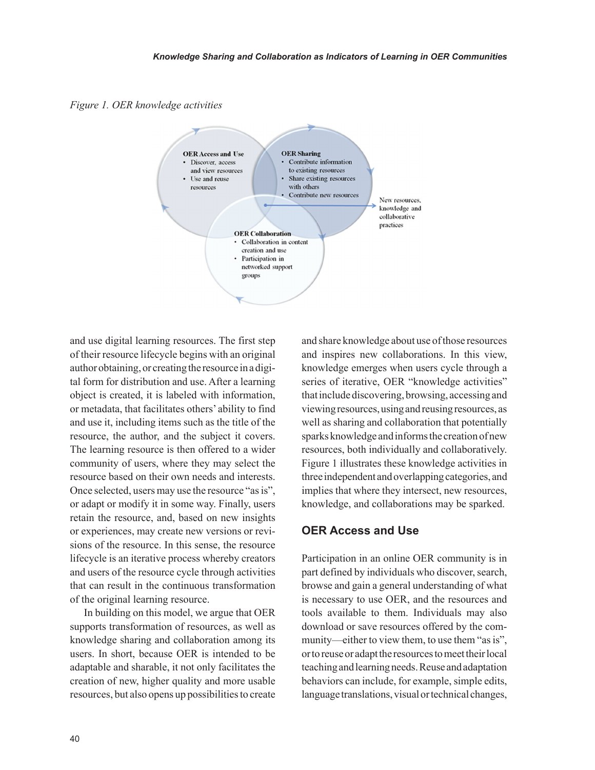*Figure 1. OER knowledge activities*



and use digital learning resources. The first step of their resource lifecycle begins with an original author obtaining, or creating the resource in a digital form for distribution and use. After a learning object is created, it is labeled with information, or metadata, that facilitates others' ability to find and use it, including items such as the title of the resource, the author, and the subject it covers. The learning resource is then offered to a wider community of users, where they may select the resource based on their own needs and interests. Once selected, users may use the resource "as is", or adapt or modify it in some way. Finally, users retain the resource, and, based on new insights or experiences, may create new versions or revisions of the resource. In this sense, the resource lifecycle is an iterative process whereby creators and users of the resource cycle through activities that can result in the continuous transformation of the original learning resource.

In building on this model, we argue that OER supports transformation of resources, as well as knowledge sharing and collaboration among its users. In short, because OER is intended to be adaptable and sharable, it not only facilitates the creation of new, higher quality and more usable resources, but also opens up possibilities to create and share knowledge about use of those resources and inspires new collaborations. In this view, knowledge emerges when users cycle through a series of iterative, OER "knowledge activities" that include discovering, browsing, accessing and viewing resources, using and reusing resources, as well as sharing and collaboration that potentially sparks knowledge and informs the creation of new resources, both individually and collaboratively. Figure 1 illustrates these knowledge activities in three independent and overlapping categories, and implies that where they intersect, new resources, knowledge, and collaborations may be sparked.

#### **OER Access and Use**

Participation in an online OER community is in part defined by individuals who discover, search, browse and gain a general understanding of what is necessary to use OER, and the resources and tools available to them. Individuals may also download or save resources offered by the community—either to view them, to use them "as is", or to reuse or adapt the resources to meet their local teaching and learning needs. Reuse and adaptation behaviors can include, for example, simple edits, language translations, visual or technical changes,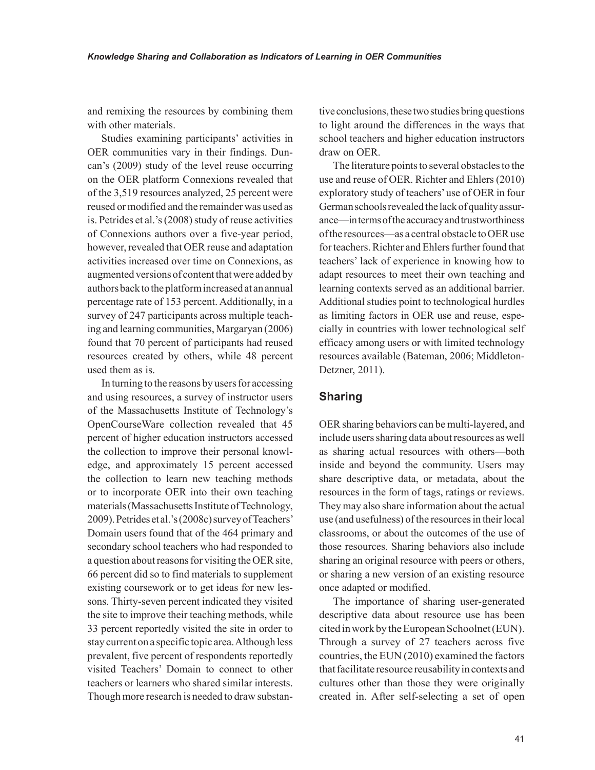and remixing the resources by combining them with other materials.

Studies examining participants' activities in OER communities vary in their findings. Duncan's (2009) study of the level reuse occurring on the OER platform Connexions revealed that of the 3,519 resources analyzed, 25 percent were reused or modified and the remainder was used as is. Petrides et al.'s (2008) study of reuse activities of Connexions authors over a five-year period, however, revealed that OER reuse and adaptation activities increased over time on Connexions, as augmented versions of content that were added by authors back to the platform increased at an annual percentage rate of 153 percent. Additionally, in a survey of 247 participants across multiple teaching and learning communities, Margaryan (2006) found that 70 percent of participants had reused resources created by others, while 48 percent used them as is.

In turning to the reasons by users for accessing and using resources, a survey of instructor users of the Massachusetts Institute of Technology's OpenCourseWare collection revealed that 45 percent of higher education instructors accessed the collection to improve their personal knowledge, and approximately 15 percent accessed the collection to learn new teaching methods or to incorporate OER into their own teaching materials (Massachusetts Institute of Technology, 2009). Petrides et al.'s (2008c) survey of Teachers' Domain users found that of the 464 primary and secondary school teachers who had responded to a question about reasons for visiting the OER site, 66 percent did so to find materials to supplement existing coursework or to get ideas for new lessons. Thirty-seven percent indicated they visited the site to improve their teaching methods, while 33 percent reportedly visited the site in order to stay current on a specific topic area. Although less prevalent, five percent of respondents reportedly visited Teachers' Domain to connect to other teachers or learners who shared similar interests. Though more research is needed to draw substantive conclusions, these two studies bring questions to light around the differences in the ways that school teachers and higher education instructors draw on OER.

The literature points to several obstacles to the use and reuse of OER. Richter and Ehlers (2010) exploratory study of teachers' use of OER in four German schools revealed the lack of quality assurance—in terms of the accuracy and trustworthiness of the resources—as a central obstacle to OER use for teachers. Richter and Ehlers further found that teachers' lack of experience in knowing how to adapt resources to meet their own teaching and learning contexts served as an additional barrier. Additional studies point to technological hurdles as limiting factors in OER use and reuse, especially in countries with lower technological self efficacy among users or with limited technology resources available (Bateman, 2006; Middleton-Detzner, 2011).

#### **Sharing**

OER sharing behaviors can be multi-layered, and include users sharing data about resources as well as sharing actual resources with others—both inside and beyond the community. Users may share descriptive data, or metadata, about the resources in the form of tags, ratings or reviews. They may also share information about the actual use (and usefulness) of the resources in their local classrooms, or about the outcomes of the use of those resources. Sharing behaviors also include sharing an original resource with peers or others, or sharing a new version of an existing resource once adapted or modified.

The importance of sharing user-generated descriptive data about resource use has been cited in work by the European Schoolnet (EUN). Through a survey of 27 teachers across five countries, the EUN (2010) examined the factors that facilitate resource reusability in contexts and cultures other than those they were originally created in. After self-selecting a set of open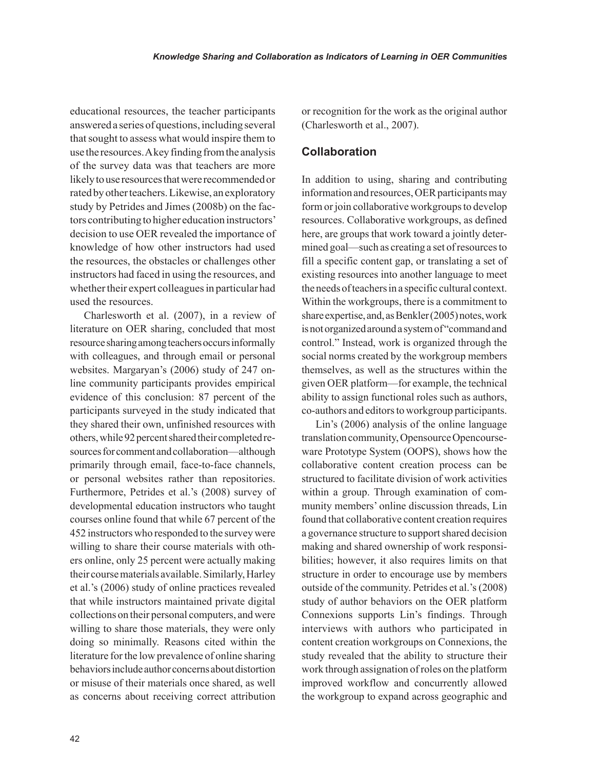educational resources, the teacher participants answered a series of questions, including several that sought to assess what would inspire them to use the resources. A key finding from the analysis of the survey data was that teachers are more likely to use resources that were recommended or rated by other teachers. Likewise, an exploratory study by Petrides and Jimes (2008b) on the factors contributing to higher education instructors' decision to use OER revealed the importance of knowledge of how other instructors had used the resources, the obstacles or challenges other instructors had faced in using the resources, and whether their expert colleagues in particular had used the resources.

Charlesworth et al. (2007), in a review of literature on OER sharing, concluded that most resource sharing among teachers occurs informally with colleagues, and through email or personal websites. Margaryan's (2006) study of 247 online community participants provides empirical evidence of this conclusion: 87 percent of the participants surveyed in the study indicated that they shared their own, unfinished resources with others, while 92 percent shared their completed resources for comment and collaboration—although primarily through email, face-to-face channels, or personal websites rather than repositories. Furthermore, Petrides et al.'s (2008) survey of developmental education instructors who taught courses online found that while 67 percent of the 452 instructors who responded to the survey were willing to share their course materials with others online, only 25 percent were actually making their course materials available. Similarly, Harley et al.'s (2006) study of online practices revealed that while instructors maintained private digital collections on their personal computers, and were willing to share those materials, they were only doing so minimally. Reasons cited within the literature for the low prevalence of online sharing behaviors include author concerns about distortion or misuse of their materials once shared, as well as concerns about receiving correct attribution or recognition for the work as the original author (Charlesworth et al., 2007).

#### **Collaboration**

In addition to using, sharing and contributing information and resources, OER participants may form or join collaborative workgroups to develop resources. Collaborative workgroups, as defined here, are groups that work toward a jointly determined goal—such as creating a set of resources to fill a specific content gap, or translating a set of existing resources into another language to meet the needs of teachers in a specific cultural context. Within the workgroups, there is a commitment to share expertise, and, as Benkler (2005) notes, work is not organized around a system of "command and control." Instead, work is organized through the social norms created by the workgroup members themselves, as well as the structures within the given OER platform—for example, the technical ability to assign functional roles such as authors, co-authors and editors to workgroup participants.

Lin's (2006) analysis of the online language translation community, Opensource Opencourseware Prototype System (OOPS), shows how the collaborative content creation process can be structured to facilitate division of work activities within a group. Through examination of community members' online discussion threads, Lin found that collaborative content creation requires a governance structure to support shared decision making and shared ownership of work responsibilities; however, it also requires limits on that structure in order to encourage use by members outside of the community. Petrides et al.'s (2008) study of author behaviors on the OER platform Connexions supports Lin's findings. Through interviews with authors who participated in content creation workgroups on Connexions, the study revealed that the ability to structure their work through assignation of roles on the platform improved workflow and concurrently allowed the workgroup to expand across geographic and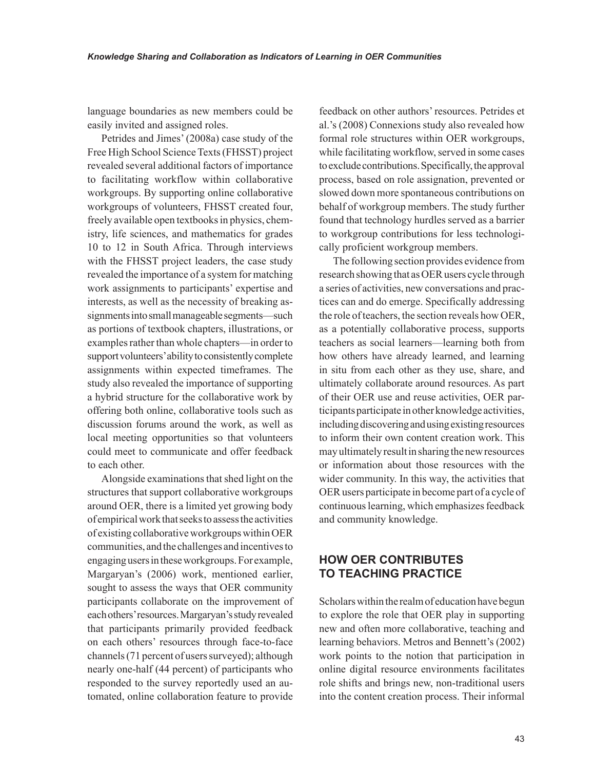language boundaries as new members could be easily invited and assigned roles.

Petrides and Jimes' (2008a) case study of the Free High School Science Texts (FHSST) project revealed several additional factors of importance to facilitating workflow within collaborative workgroups. By supporting online collaborative workgroups of volunteers, FHSST created four, freely available open textbooks in physics, chemistry, life sciences, and mathematics for grades 10 to 12 in South Africa. Through interviews with the FHSST project leaders, the case study revealed the importance of a system for matching work assignments to participants' expertise and interests, as well as the necessity of breaking assignments into small manageable segments—such as portions of textbook chapters, illustrations, or examples rather than whole chapters—in order to support volunteers' ability to consistently complete assignments within expected timeframes. The study also revealed the importance of supporting a hybrid structure for the collaborative work by offering both online, collaborative tools such as discussion forums around the work, as well as local meeting opportunities so that volunteers could meet to communicate and offer feedback to each other.

Alongside examinations that shed light on the structures that support collaborative workgroups around OER, there is a limited yet growing body of empirical work that seeks to assess the activities of existing collaborative workgroups within OER communities, and the challenges and incentives to engaging users in these workgroups. For example, Margaryan's (2006) work, mentioned earlier, sought to assess the ways that OER community participants collaborate on the improvement of each others' resources. Margaryan's study revealed that participants primarily provided feedback on each others' resources through face-to-face channels (71 percent of users surveyed); although nearly one-half (44 percent) of participants who responded to the survey reportedly used an automated, online collaboration feature to provide

feedback on other authors' resources. Petrides et al.'s (2008) Connexions study also revealed how formal role structures within OER workgroups, while facilitating workflow, served in some cases to exclude contributions. Specifically, the approval process, based on role assignation, prevented or slowed down more spontaneous contributions on behalf of workgroup members. The study further found that technology hurdles served as a barrier to workgroup contributions for less technologically proficient workgroup members.

The following section provides evidence from research showing that as OER users cycle through a series of activities, new conversations and practices can and do emerge. Specifically addressing the role of teachers, the section reveals how OER, as a potentially collaborative process, supports teachers as social learners—learning both from how others have already learned, and learning in situ from each other as they use, share, and ultimately collaborate around resources. As part of their OER use and reuse activities, OER participants participate in other knowledge activities, including discovering and using existing resources to inform their own content creation work. This may ultimately result in sharing the new resources or information about those resources with the wider community. In this way, the activities that OER users participate in become part of a cycle of continuous learning, which emphasizes feedback and community knowledge.

#### **HOW OER CONTRIBUTES TO TEACHING PRACTICE**

Scholars within the realm of education have begun to explore the role that OER play in supporting new and often more collaborative, teaching and learning behaviors. Metros and Bennett's (2002) work points to the notion that participation in online digital resource environments facilitates role shifts and brings new, non-traditional users into the content creation process. Their informal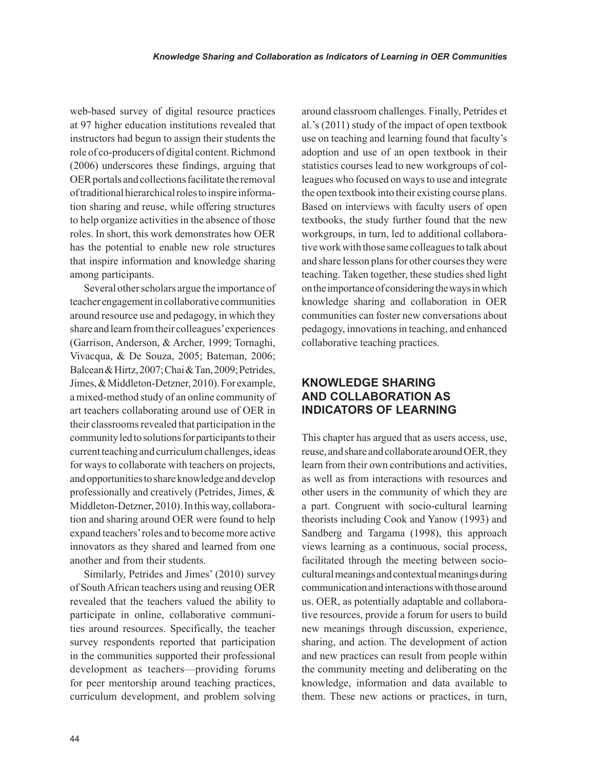web-based survey of digital resource practices at 97 higher education institutions revealed that instructors had begun to assign their students the role of co-producers of digital content. Richmond (2006) underscores these findings, arguing that OER portals and collections facilitate the removal of traditional hierarchical roles to inspire information sharing and reuse, while offering structures to help organize activities in the absence of those roles. In short, this work demonstrates how OER has the potential to enable new role structures that inspire information and knowledge sharing among participants.

Several other scholars argue the importance of teacher engagement in collaborative communities around resource use and pedagogy, in which they share and learn from their colleagues' experiences (Garrison, Anderson, & Archer, 1999; Tornaghi, Vivacqua, & De Souza, 2005; Bateman, 2006; Balcean & Hirtz, 2007; Chai & Tan, 2009; Petrides, Jimes, & Middleton-Detzner, 2010). For example, a mixed-method study of an online community of art teachers collaborating around use of OER in their classrooms revealed that participation in the community led to solutions for participants to their current teaching and curriculum challenges, ideas for ways to collaborate with teachers on projects, and opportunities to share knowledge and develop professionally and creatively (Petrides, Jimes, & Middleton-Detzner, 2010). In this way, collaboration and sharing around OER were found to help expand teachers' roles and to become more active innovators as they shared and learned from one another and from their students.

Similarly, Petrides and Jimes' (2010) survey of South African teachers using and reusing OER revealed that the teachers valued the ability to participate in online, collaborative communities around resources. Specifically, the teacher survey respondents reported that participation in the communities supported their professional development as teachers—providing forums for peer mentorship around teaching practices, curriculum development, and problem solving around classroom challenges. Finally, Petrides et al.'s (2011) study of the impact of open textbook use on teaching and learning found that faculty's adoption and use of an open textbook in their statistics courses lead to new workgroups of colleagues who focused on ways to use and integrate the open textbook into their existing course plans. Based on interviews with faculty users of open textbooks, the study further found that the new workgroups, in turn, led to additional collaborative work with those same colleagues to talk about and share lesson plans for other courses they were teaching. Taken together, these studies shed light on the importance of considering the ways in which knowledge sharing and collaboration in OER communities can foster new conversations about pedagogy, innovations in teaching, and enhanced collaborative teaching practices.

#### **KNOWLEDGE SHARING AND COLLABORATION AS INDICATORS OF LEARNING**

This chapter has argued that as users access, use, reuse, and share and collaborate around OER, they learn from their own contributions and activities, as well as from interactions with resources and other users in the community of which they are a part. Congruent with socio-cultural learning theorists including Cook and Yanow (1993) and Sandberg and Targama (1998), this approach views learning as a continuous, social process, facilitated through the meeting between sociocultural meanings and contextual meanings during communication and interactions with those around us. OER, as potentially adaptable and collaborative resources, provide a forum for users to build new meanings through discussion, experience, sharing, and action. The development of action and new practices can result from people within the community meeting and deliberating on the knowledge, information and data available to them. These new actions or practices, in turn,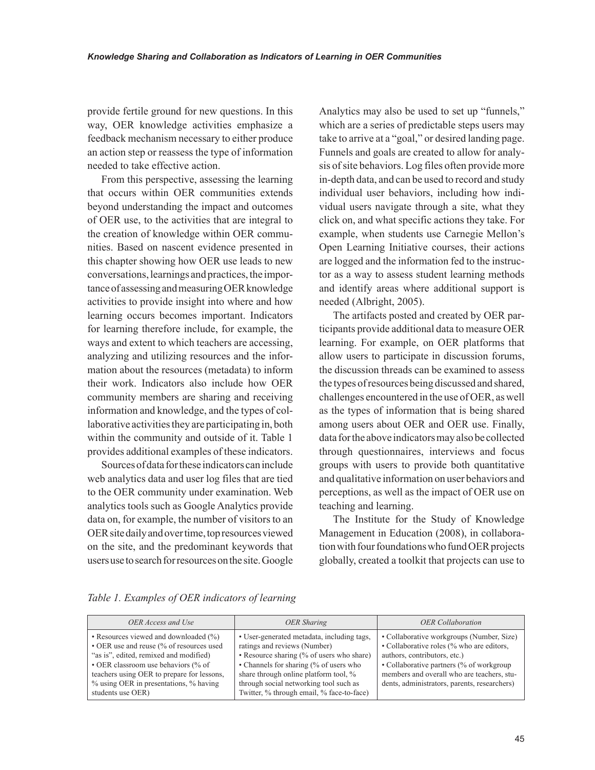provide fertile ground for new questions. In this way, OER knowledge activities emphasize a feedback mechanism necessary to either produce an action step or reassess the type of information needed to take effective action.

From this perspective, assessing the learning that occurs within OER communities extends beyond understanding the impact and outcomes of OER use, to the activities that are integral to the creation of knowledge within OER communities. Based on nascent evidence presented in this chapter showing how OER use leads to new conversations, learnings and practices, the importance of assessing and measuring OER knowledge activities to provide insight into where and how learning occurs becomes important. Indicators for learning therefore include, for example, the ways and extent to which teachers are accessing, analyzing and utilizing resources and the information about the resources (metadata) to inform their work. Indicators also include how OER community members are sharing and receiving information and knowledge, and the types of collaborative activities they are participating in, both within the community and outside of it. Table 1 provides additional examples of these indicators.

Sources of data for these indicators can include web analytics data and user log files that are tied to the OER community under examination. Web analytics tools such as Google Analytics provide data on, for example, the number of visitors to an OER site daily and over time, top resources viewed on the site, and the predominant keywords that users use to search for resources on the site. Google Analytics may also be used to set up "funnels," which are a series of predictable steps users may take to arrive at a "goal," or desired landing page. Funnels and goals are created to allow for analysis of site behaviors. Log files often provide more in-depth data, and can be used to record and study individual user behaviors, including how individual users navigate through a site, what they click on, and what specific actions they take. For example, when students use Carnegie Mellon's Open Learning Initiative courses, their actions are logged and the information fed to the instructor as a way to assess student learning methods and identify areas where additional support is needed (Albright, 2005).

The artifacts posted and created by OER participants provide additional data to measure OER learning. For example, on OER platforms that allow users to participate in discussion forums, the discussion threads can be examined to assess the types of resources being discussed and shared, challenges encountered in the use of OER, as well as the types of information that is being shared among users about OER and OER use. Finally, data for the above indicators may also be collected through questionnaires, interviews and focus groups with users to provide both quantitative and qualitative information on user behaviors and perceptions, as well as the impact of OER use on teaching and learning.

The Institute for the Study of Knowledge Management in Education (2008), in collaboration with four foundations who fund OER projects globally, created a toolkit that projects can use to

| OER Access and Use                                                                                                                                                                                                                                                                 | <b>OER</b> Sharing                                                                                                                                                                                                                                                                                | <b>OER</b> Collaboration                                                                                                                                                                                                                                          |
|------------------------------------------------------------------------------------------------------------------------------------------------------------------------------------------------------------------------------------------------------------------------------------|---------------------------------------------------------------------------------------------------------------------------------------------------------------------------------------------------------------------------------------------------------------------------------------------------|-------------------------------------------------------------------------------------------------------------------------------------------------------------------------------------------------------------------------------------------------------------------|
| • Resources viewed and downloaded $(\%)$<br>• OER use and reuse (% of resources used<br>"as is", edited, remixed and modified)<br>• OER classroom use behaviors (% of<br>teachers using OER to prepare for lessons,<br>% using OER in presentations, % having<br>students use OER) | • User-generated metadata, including tags,<br>ratings and reviews (Number)<br>• Resource sharing (% of users who share)<br>• Channels for sharing (% of users who<br>share through online platform tool, %<br>through social networking tool such as<br>Twitter, % through email, % face-to-face) | • Collaborative workgroups (Number, Size)<br>• Collaborative roles (% who are editors,<br>authors, contributors, etc.)<br>• Collaborative partners (% of workgroup)<br>members and overall who are teachers, stu-<br>dents, administrators, parents, researchers) |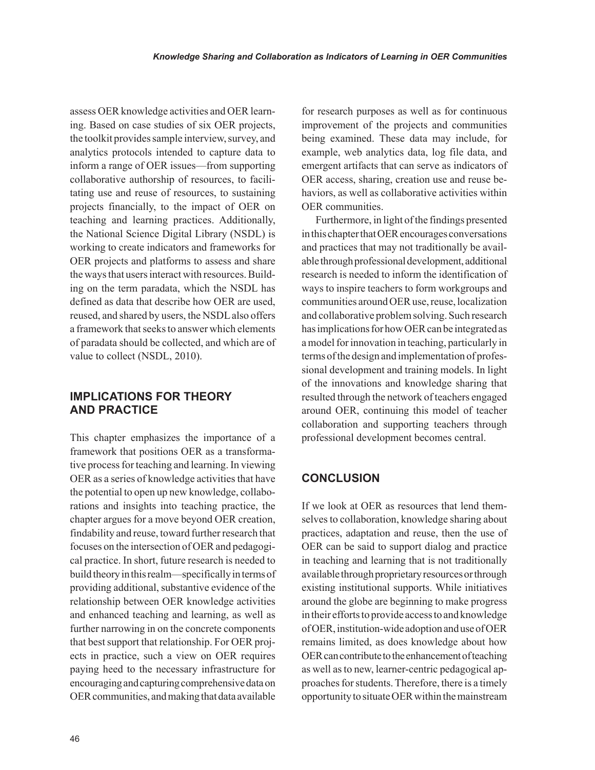assess OER knowledge activities and OER learning. Based on case studies of six OER projects, the toolkit provides sample interview, survey, and analytics protocols intended to capture data to inform a range of OER issues—from supporting collaborative authorship of resources, to facilitating use and reuse of resources, to sustaining projects financially, to the impact of OER on teaching and learning practices. Additionally, the National Science Digital Library (NSDL) is working to create indicators and frameworks for OER projects and platforms to assess and share the ways that users interact with resources. Building on the term paradata, which the NSDL has defined as data that describe how OER are used, reused, and shared by users, the NSDL also offers a framework that seeks to answer which elements of paradata should be collected, and which are of value to collect (NSDL, 2010).

#### **IMPLICATIONS FOR THEORY AND PRACTICE**

This chapter emphasizes the importance of a framework that positions OER as a transformative process for teaching and learning. In viewing OER as a series of knowledge activities that have the potential to open up new knowledge, collaborations and insights into teaching practice, the chapter argues for a move beyond OER creation, findability and reuse, toward further research that focuses on the intersection of OER and pedagogical practice. In short, future research is needed to build theory in this realm—specifically in terms of providing additional, substantive evidence of the relationship between OER knowledge activities and enhanced teaching and learning, as well as further narrowing in on the concrete components that best support that relationship. For OER projects in practice, such a view on OER requires paying heed to the necessary infrastructure for encouraging and capturing comprehensive data on OER communities, and making that data available for research purposes as well as for continuous improvement of the projects and communities being examined. These data may include, for example, web analytics data, log file data, and emergent artifacts that can serve as indicators of OER access, sharing, creation use and reuse behaviors, as well as collaborative activities within OER communities.

Furthermore, in light of the findings presented in this chapter that OER encourages conversations and practices that may not traditionally be available through professional development, additional research is needed to inform the identification of ways to inspire teachers to form workgroups and communities around OER use, reuse, localization and collaborative problem solving. Such research has implications for how OER can be integrated as a model for innovation in teaching, particularly in terms of the design and implementation of professional development and training models. In light of the innovations and knowledge sharing that resulted through the network of teachers engaged around OER, continuing this model of teacher collaboration and supporting teachers through professional development becomes central.

#### **CONCLUSION**

If we look at OER as resources that lend themselves to collaboration, knowledge sharing about practices, adaptation and reuse, then the use of OER can be said to support dialog and practice in teaching and learning that is not traditionally available through proprietary resources or through existing institutional supports. While initiatives around the globe are beginning to make progress in their efforts to provide access to and knowledge of OER, institution-wide adoption and use of OER remains limited, as does knowledge about how OER can contribute to the enhancement of teaching as well as to new, learner-centric pedagogical approaches for students. Therefore, there is a timely opportunity to situate OER within the mainstream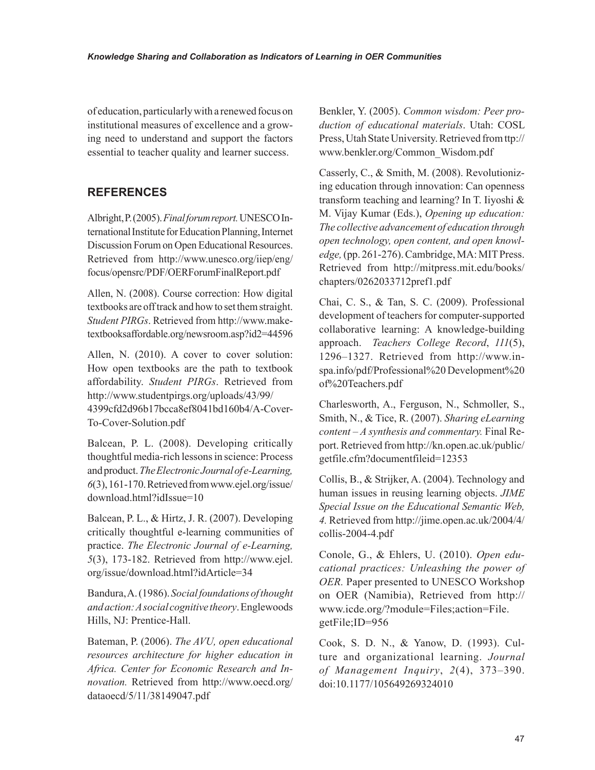of education, particularly with a renewed focus on institutional measures of excellence and a growing need to understand and support the factors essential to teacher quality and learner success.

### **REFERENCES**

Albright, P. (2005). *Final forum report.* UNESCO International Institute for Education Planning, Internet Discussion Forum on Open Educational Resources. Retrieved from http://www.unesco.org/iiep/eng/ focus/opensrc/PDF/OERForumFinalReport.pdf

Allen, N. (2008). Course correction: How digital textbooks are off track and how to set them straight. *Student PIRGs*. Retrieved from http://www.maketextbooksaffordable.org/newsroom.asp?id2=44596

Allen, N. (2010). A cover to cover solution: How open textbooks are the path to textbook affordability. *Student PIRGs*. Retrieved from http://www.studentpirgs.org/uploads/43/99/ 4399cfd2d96b17bcca8ef8041bd160b4/A-Cover-To-Cover-Solution.pdf

Balcean, P. L. (2008). Developing critically thoughtful media-rich lessons in science: Process and product. *The Electronic Journal of e-Learning, 6*(3), 161-170. Retrieved from www.ejel.org/issue/ download.html?idIssue=10

Balcean, P. L., & Hirtz, J. R. (2007). Developing critically thoughtful e-learning communities of practice. *The Electronic Journal of e-Learning, 5*(3), 173-182. Retrieved from http://www.ejel. org/issue/download.html?idArticle=34

Bandura, A. (1986). *Social foundations of thought and action: A social cognitive theory*. Englewoods Hills, NJ: Prentice-Hall.

Bateman, P. (2006). *The AVU, open educational resources architecture for higher education in Africa. Center for Economic Research and Innovation.* Retrieved from http://www.oecd.org/ dataoecd/5/11/38149047.pdf

Benkler, Y. (2005). *Common wisdom: Peer production of educational materials*. Utah: COSL Press, Utah State University. Retrieved from ttp:// www.benkler.org/Common\_Wisdom.pdf

Casserly, C., & Smith, M. (2008). Revolutionizing education through innovation: Can openness transform teaching and learning? In T. Iiyoshi & M. Vijay Kumar (Eds.), *Opening up education: The collective advancement of education through open technology, open content, and open knowledge,* (pp. 261-276). Cambridge, MA: MIT Press. Retrieved from http://mitpress.mit.edu/books/ chapters/0262033712pref1.pdf

Chai, C. S., & Tan, S. C. (2009). Professional development of teachers for computer-supported collaborative learning: A knowledge-building approach. *Teachers College Record*, *111*(5), 1296–1327. Retrieved from http://www.inspa.info/pdf/Professional%20 Development%20 of%20Teachers.pdf

Charlesworth, A., Ferguson, N., Schmoller, S., Smith, N., & Tice, R. (2007). *Sharing eLearning content – A synthesis and commentary.* Final Report. Retrieved from http://kn.open.ac.uk/public/ getfile.cfm?documentfileid=12353

Collis, B., & Strijker, A. (2004). Technology and human issues in reusing learning objects. *JIME Special Issue on the Educational Semantic Web, 4.* Retrieved from http://jime.open.ac.uk/2004/4/ collis-2004-4.pdf

Conole, G., & Ehlers, U. (2010). *Open educational practices: Unleashing the power of OER.* Paper presented to UNESCO Workshop on OER (Namibia), Retrieved from http:// www.icde.org/?module=Files;action=File. getFile;ID=956

Cook, S. D. N., & Yanow, D. (1993). Culture and organizational learning. *Journal of Management Inquiry*, *2*(4), 373–390. doi:10.1177/105649269324010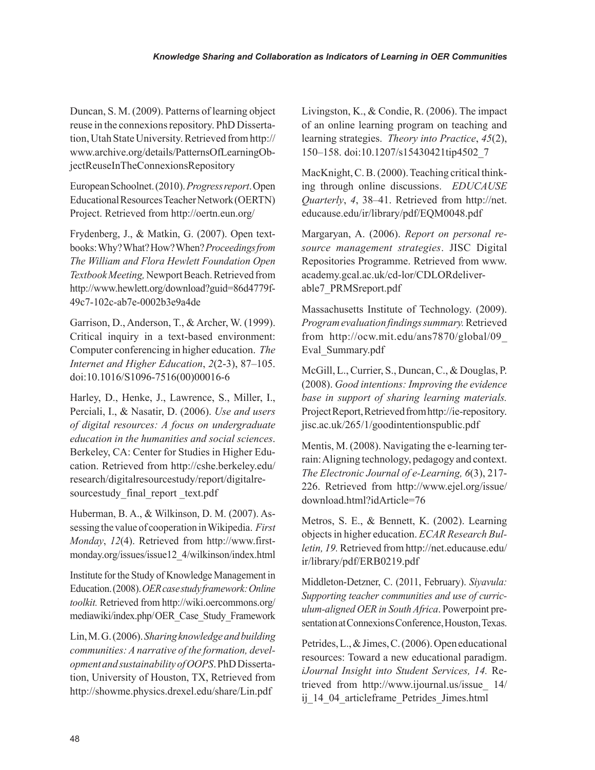Duncan, S. M. (2009). Patterns of learning object reuse in the connexions repository. PhD Dissertation, Utah State University. Retrieved from http:// www.archive.org/details/PatternsOfLearningObjectReuseInTheConnexionsRepository

European Schoolnet. (2010). *Progress report*. Open Educational Resources Teacher Network (OERTN) Project. Retrieved from http://oertn.eun.org/

Frydenberg, J., & Matkin, G. (2007). Open textbooks: Why? What? How? When? *Proceedings from The William and Flora Hewlett Foundation Open Textbook Meeting,* Newport Beach. Retrieved from http://www.hewlett.org/download?guid=86d4779f-49c7-102c-ab7e-0002b3e9a4de

Garrison, D., Anderson, T., & Archer, W. (1999). Critical inquiry in a text-based environment: Computer conferencing in higher education. *The Internet and Higher Education*, *2*(2-3), 87–105. doi:10.1016/S1096-7516(00)00016-6

Harley, D., Henke, J., Lawrence, S., Miller, I., Perciali, I., & Nasatir, D. (2006). *Use and users of digital resources: A focus on undergraduate education in the humanities and social sciences*. Berkeley, CA: Center for Studies in Higher Education. Retrieved from http://cshe.berkeley.edu/ research/digitalresourcestudy/report/digitalresourcestudy final report text.pdf

Huberman, B. A., & Wilkinson, D. M. (2007). Assessing the value of cooperation in Wikipedia. *First Monday*, *12*(4). Retrieved from http://www.firstmonday.org/issues/issue12\_4/wilkinson/index.html

Institute for the Study of Knowledge Management in Education. (2008). *OER case study framework: Online toolkit.* Retrieved from http://wiki.oercommons.org/ mediawiki/index.php/ OER\_Case\_Study\_Framework

Lin, M. G. (2006). *Sharing knowledge and building communities: A narrative of the formation, development and sustainability of OOPS*. PhD Dissertation, University of Houston, TX, Retrieved from http://showme.physics.drexel.edu/share/Lin.pdf

Livingston, K., & Condie, R. (2006). The impact of an online learning program on teaching and learning strategies. *Theory into Practice*, *45*(2), 150–158. doi:10.1207/s15430421tip4502\_7

MacKnight, C. B. (2000). Teaching critical thinking through online discussions. *EDUCAUSE Quarterly*, *4*, 38–41. Retrieved from http://net. educause.edu/ir/library/pdf/EQM0048.pdf

Margaryan, A. (2006). *Report on personal resource management strategies*. JISC Digital Repositories Programme. Retrieved from www. academy.gcal.ac.uk/cd-lor/CDLORdeliverable7\_PRMSreport.pdf

Massachusetts Institute of Technology. (2009). *Program evaluation findings summary.* Retrieved from http://ocw.mit.edu/ans7870/global/09\_ Eval\_Summary.pdf

McGill, L., Currier, S., Duncan, C., & Douglas, P. (2008). *Good intentions: Improving the evidence base in support of sharing learning materials.* Project Report, Retrieved from http://ie-repository. jisc.ac.uk/265/1/goodintentionspublic.pdf

Mentis, M. (2008). Navigating the e-learning terrain: Aligning technology, pedagogy and context. *The Electronic Journal of e-Learning, 6*(3), 217- 226. Retrieved from http://www.ejel.org/issue/ download.html?idArticle=76

Metros, S. E., & Bennett, K. (2002). Learning objects in higher education. *ECAR Research Bulletin, 19.* Retrieved from http://net.educause.edu/ ir/library/pdf/ERB0219.pdf

Middleton-Detzner, C. (2011, February). *Siyavula: Supporting teacher communities and use of curriculum-aligned OER in South Africa*. Powerpoint presentation at Connexions Conference, Houston, Texas.

Petrides, L., & Jimes, C. (2006). Open educational resources: Toward a new educational paradigm. *iJournal Insight into Student Services, 14.* Retrieved from http://www.ijournal.us/issue\_ 14/ ij 14\_04 articleframe Petrides Jimes.html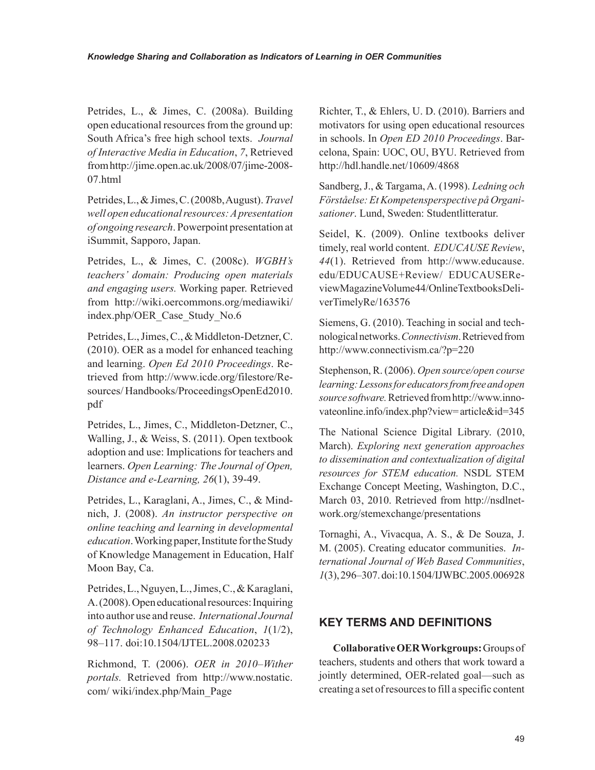Petrides, L., & Jimes, C. (2008a). Building open educational resources from the ground up: South Africa's free high school texts. *Journal of Interactive Media in Education*, *7*, Retrieved from http://jime.open.ac.uk/2008/07/jime-2008- 07.html

Petrides, L., & Jimes, C. (2008b, August). *Travel well open educational resources: A presentation of ongoing research*. Powerpoint presentation at iSummit, Sapporo, Japan.

Petrides, L., & Jimes, C. (2008c). *WGBH's teachers' domain: Producing open materials and engaging users.* Working paper. Retrieved from http://wiki.oercommons.org/mediawiki/ index.php/OER\_Case\_Study\_No.6

Petrides, L., Jimes, C., & Middleton-Detzner, C. (2010). OER as a model for enhanced teaching and learning. *Open Ed 2010 Proceedings*. Retrieved from http://www.icde.org/filestore/Resources/ Handbooks/ProceedingsOpenEd2010. pdf

Petrides, L., Jimes, C., Middleton-Detzner, C., Walling, J., & Weiss, S. (2011). Open textbook adoption and use: Implications for teachers and learners. *Open Learning: The Journal of Open, Distance and e-Learning, 26*(1), 39-49.

Petrides, L., Karaglani, A., Jimes, C., & Mindnich, J. (2008). *An instructor perspective on online teaching and learning in developmental education*. Working paper, Institute for the Study of Knowledge Management in Education, Half Moon Bay, Ca.

Petrides, L., Nguyen, L., Jimes, C., & Karaglani, A. (2008). Open educational resources: Inquiring into author use and reuse. *International Journal of Technology Enhanced Education*, *1*(1/2), 98–117. doi:10.1504/IJTEL.2008.020233

Richmond, T. (2006). *OER in 2010–Wither portals.* Retrieved from http://www.nostatic. com/ wiki/index.php/Main\_Page

Richter, T., & Ehlers, U. D. (2010). Barriers and motivators for using open educational resources in schools. In *Open ED 2010 Proceedings*. Barcelona, Spain: UOC, OU, BYU. Retrieved from http://hdl.handle.net/10609/4868

Sandberg, J., & Targama, A. (1998). *Ledning och Förståelse: Et Kompetensperspective på Organisationer*. Lund, Sweden: Studentlitteratur.

Seidel, K. (2009). Online textbooks deliver timely, real world content. *EDUCAUSE Review*, *44*(1). Retrieved from http://www.educause. edu/EDUCAUSE+Review/ EDUCAUSEReviewMagazineVolume44/OnlineTextbooksDeliverTimelyRe/163576

Siemens, G. (2010). Teaching in social and technological networks. *Connectivism*. Retrieved from http://www.connectivism.ca/?p=220

Stephenson, R. (2006). *Open source/open course learning: Lessons for educators from free and open source software.* Retrieved from http://www.innovateonline.info/index.php?view= article&id=345

The National Science Digital Library. (2010, March). *Exploring next generation approaches to dissemination and contextualization of digital resources for STEM education.* NSDL STEM Exchange Concept Meeting, Washington, D.C., March 03, 2010. Retrieved from http://nsdlnetwork.org/stemexchange/presentations

Tornaghi, A., Vivacqua, A. S., & De Souza, J. M. (2005). Creating educator communities. *International Journal of Web Based Communities*, *1*(3), 296–307. doi:10.1504/IJWBC.2005.006928

#### **KEY TERMS AND DEFINITIONS**

**Collaborative OER Workgroups:** Groups of teachers, students and others that work toward a jointly determined, OER-related goal—such as creating a set of resources to fill a specific content